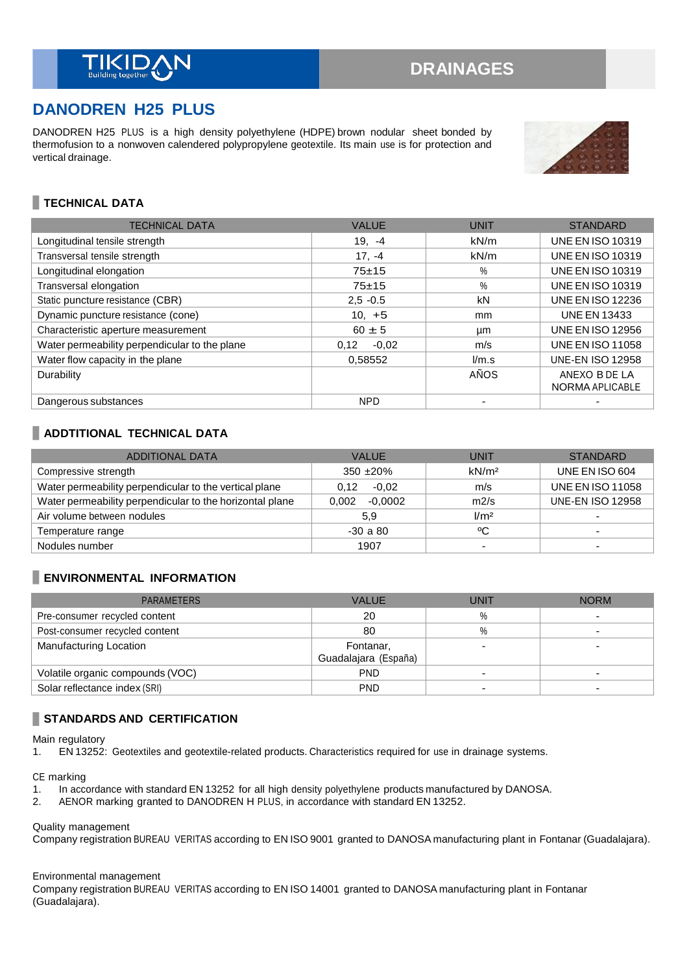# **DANODREN H25 PLUS**

DANODREN H25 PLUS is a high density polyethylene (HDPE) brown nodular sheet bonded by thermofusion to a nonwoven calendered polypropylene geotextile. Its main use is for protection and vertical drainage.



## **TECHNICAL DATA**

| <b>TECHNICAL DATA</b>                         | <b>VALUE</b>    | <b>UNIT</b> | <b>STANDARD</b>                  |
|-----------------------------------------------|-----------------|-------------|----------------------------------|
| Longitudinal tensile strength                 | $19. -4$        | kN/m        | <b>UNE EN ISO 10319</b>          |
| Transversal tensile strength                  | $17, -4$        | kN/m        | <b>UNE EN ISO 10319</b>          |
| Longitudinal elongation                       | $75 + 15$       | $\%$        | <b>UNE EN ISO 10319</b>          |
| Transversal elongation                        | $75 + 15$       | $\%$        | <b>UNE EN ISO 10319</b>          |
| Static puncture resistance (CBR)              | $2.5 - 0.5$     | kN          | <b>UNE EN ISO 12236</b>          |
| Dynamic puncture resistance (cone)            | $10, +5$        | mm          | <b>UNE EN 13433</b>              |
| Characteristic aperture measurement           | $60 \pm 5$      | μm          | <b>UNE EN ISO 12956</b>          |
| Water permeability perpendicular to the plane | 0.12<br>$-0.02$ | m/s         | <b>UNE EN ISO 11058</b>          |
| Water flow capacity in the plane              | 0.58552         | l/m.s       | <b>UNE-EN ISO 12958</b>          |
| Durability                                    |                 | AÑOS        | ANEXO B DE LA<br>NORMA APLICABLE |
| Dangerous substances                          | <b>NPD</b>      |             |                                  |

### **ADDTITIONAL TECHNICAL DATA**

| <b>ADDITIONAL DATA</b>                                   | <b>VALUE</b>       | UNIT              | <b>STANDARD</b>         |
|----------------------------------------------------------|--------------------|-------------------|-------------------------|
| Compressive strength                                     | $350 + 20\%$       | kN/m <sup>2</sup> | UNE EN ISO 604          |
| Water permeability perpendicular to the vertical plane   | $-0.02$<br>0.12    | m/s               | <b>UNE EN ISO 11058</b> |
| Water permeability perpendicular to the horizontal plane | $-0.0002$<br>0.002 | m2/s              | <b>UNE-EN ISO 12958</b> |
| Air volume between nodules                               | 5.9                | 1/m <sup>2</sup>  |                         |
| Temperature range                                        | $-30a80$           | °C                |                         |
| Nodules number                                           | 1907               | -                 |                         |

## **ENVIRONMENTAL INFORMATION**

| <b>PARAMETERS</b>                | <b>VALUE</b>         | UNIT | <b>NORM</b> |
|----------------------------------|----------------------|------|-------------|
| Pre-consumer recycled content    | 20                   | $\%$ |             |
| Post-consumer recycled content   | 80                   | $\%$ |             |
| Manufacturing Location           | Fontanar,            |      |             |
|                                  | Guadalajara (España) |      |             |
| Volatile organic compounds (VOC) | <b>PND</b>           |      |             |
| Solar reflectance index (SRI)    | <b>PND</b>           |      |             |

## **STANDARDS AND CERTIFICATION**

Main regulatory

1. EN 13252: Geotextiles and geotextile-related products. Characteristics required for use in drainage systems.

CE marking

- 1. In accordance with standard EN 13252 for all high density polyethylene products manufactured by DANOSA.<br>2. AENOR marking granted to DANODREN H PLUS, in accordance with standard EN 13252.
- 2. AENOR marking granted to DANODREN H PLUS, in accordance with standard EN 13252.

Quality management

Company registration BUREAU VERITAS according to EN ISO 9001 granted to DANOSA manufacturing plant in Fontanar (Guadalajara).

#### Environmental management

Company registration BUREAU VERITAS according to EN ISO 14001 granted to DANOSA manufacturing plant in Fontanar (Guadalajara).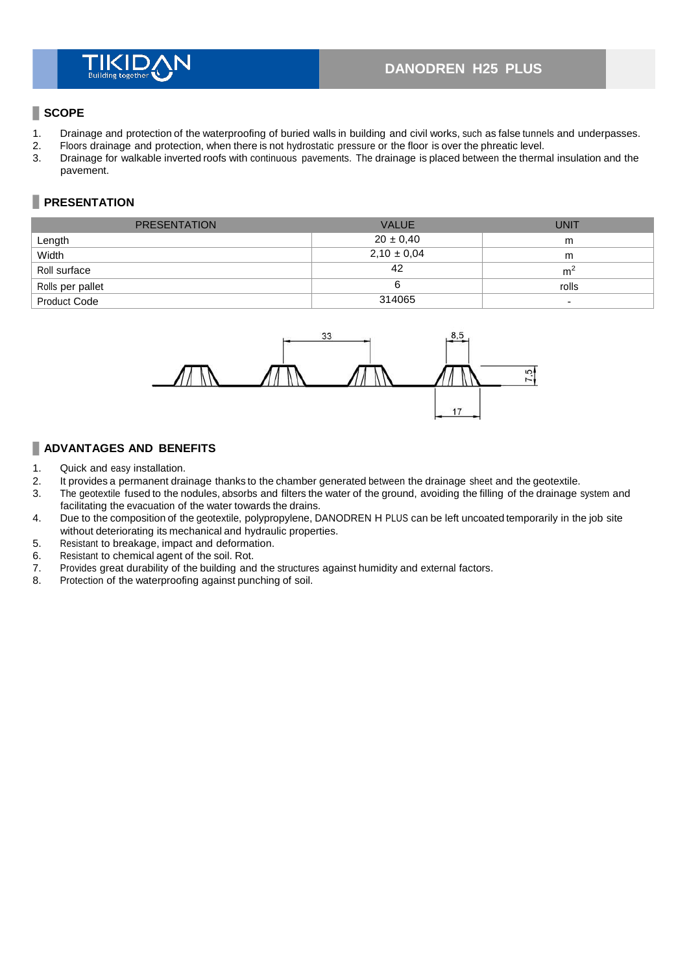## **DANODREN H25 PLUS**

### **SCOPE**

- 1. Drainage and protection of the waterproofing of buried walls in building and civil works, such as false tunnels and underpasses.<br>2. Floors drainage and protection, when there is not hydrostatic pressure or the floor is
- 2. Floors drainage and protection, when there is not hydrostatic pressure or the floor is over the phreatic level.
- 3. Drainage for walkable inverted roofs with continuous pavements. The drainage is placed between the thermal insulation and the pavement.

## **PRESENTATION**

| <b>PRESENTATION</b> | <b>VALUE</b>    | <b>UNIT</b>              |
|---------------------|-----------------|--------------------------|
| Length              | $20 \pm 0.40$   | m                        |
| Width               | $2,10 \pm 0,04$ | m                        |
| Roll surface        | 42              | m <sup>2</sup>           |
| Rolls per pallet    |                 | rolls                    |
| <b>Product Code</b> | 314065          | $\overline{\phantom{0}}$ |



#### **ADVANTAGES AND BENEFITS**

- 1. Quick and easy installation.
- 2. It provides a permanent drainage thanks to the chamber generated between the drainage sheet and the geotextile.<br>3. The geotextile fused to the nodules, absorbs and filters the water of the ground, avoiding the filling o
- The geotextile fused to the nodules, absorbs and filters the water of the ground, avoiding the filling of the drainage system and facilitating the evacuation of the water towards the drains.
- 4. Due to the composition of the geotextile, polypropylene, DANODREN H PLUS can be left uncoated temporarily in the job site without deteriorating its mechanical and hydraulic properties.
- 5. Resistant to breakage, impact and deformation.
- 6. Resistant to chemical agent of the soil. Rot.<br>7. Provides great durability of the building and
- Provides great durability of the building and the structures against humidity and external factors.
- 8. Protection of the waterproofing against punching of soil.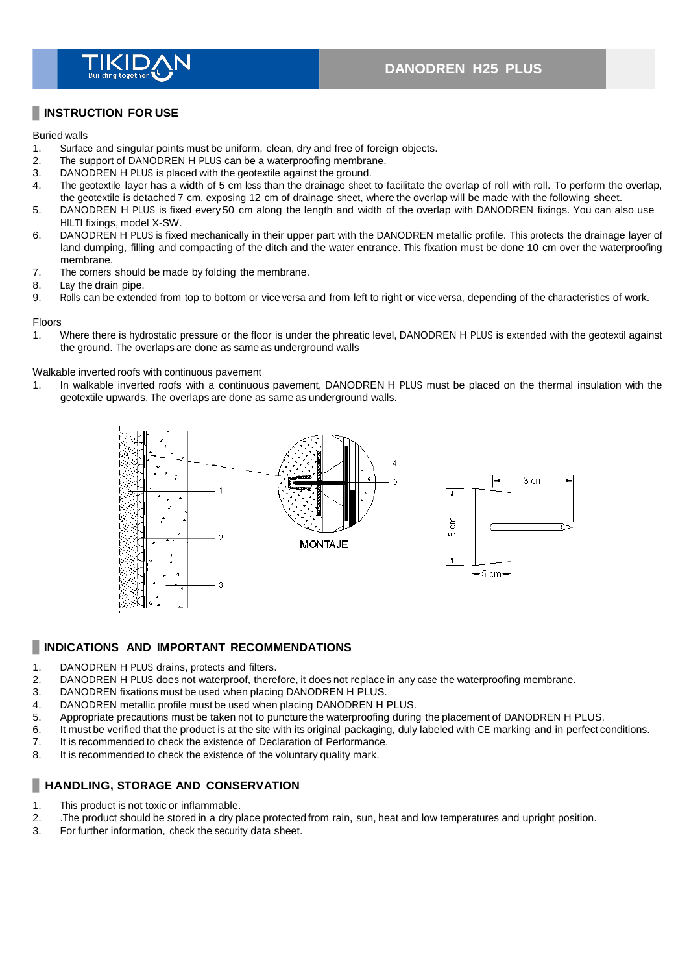

#### **INSTRUCTION FOR USE**

#### Buried walls

- 1. Surface and singular points must be uniform, clean, dry and free of foreign objects.<br>2. The support of DANODREN H PLUS can be a waterproofing membrane.
- The support of DANODREN H PLUS can be a waterproofing membrane.
- 3. DANODREN H PLUS is placed with the geotextile against the ground.<br>4 The geotextile layer has a width of 5 cm less than the drainage sheet
- The geotextile layer has a width of 5 cm less than the drainage sheet to facilitate the overlap of roll with roll. To perform the overlap, the geotextile is detached 7 cm, exposing 12 cm of drainage sheet, where the overlap will be made with the following sheet.
- 5. DANODREN H PLUS is fixed every 50 cm along the length and width of the overlap with DANODREN fixings. You can also use HILTI fixings, model X-SW.
- 6. DANODREN H PLUS is fixed mechanically in their upper part with the DANODREN metallic profile. This protects the drainage layer of land dumping, filling and compacting of the ditch and the water entrance. This fixation must be done 10 cm over the waterproofing membrane.
- 7. The corners should be made by folding the membrane.
- 8. Lay the drain pipe.
- 9. Rolls can be extended from top to bottom or vice versa and from left to right or vice versa, depending of the characteristics of work.

#### Floors

1. Where there is hydrostatic pressure or the floor is under the phreatic level, DANODREN H PLUS is extended with the geotextil against the ground. The overlaps are done as same as underground walls

#### Walkable inverted roofs with continuous pavement

1. In walkable inverted roofs with a continuous pavement, DANODREN H PLUS must be placed on the thermal insulation with the geotextile upwards. The overlaps are done as same as underground walls.



#### **INDICATIONS AND IMPORTANT RECOMMENDATIONS**

- 1. DANODREN H PLUS drains, protects and filters.<br>2. DANODREN H PLUS does not waterproof, there
- 2. DANODREN H PLUS does not waterproof, therefore, it does not replace in any case the waterproofing membrane.<br>3. DANODREN fixations must be used when placing DANODREN H PLUS.
- DANODREN fixations must be used when placing DANODREN H PLUS.
- 4. DANODREN metallic profile must be used when placing DANODREN H PLUS.
- 5. Appropriate precautions must be taken not to puncture the waterproofing during the placement of DANODREN H PLUS.
- 6. It must be verified that the product is at the site with its original packaging, duly labeled with CE marking and in perfect conditions.
- 7. It is recommended to check the existence of Declaration of Performance.<br>8. It is recommended to check the existence of the voluntary quality mark.
- It is recommended to check the existence of the voluntary quality mark.

### **HANDLING, STORAGE AND CONSERVATION**

- 1. This product is not toxic or inflammable.
- 2. The product should be stored in a dry place protected from rain, sun, heat and low temperatures and upright position.<br>3. For further information, check the security data sheet.
- For further information, check the security data sheet.